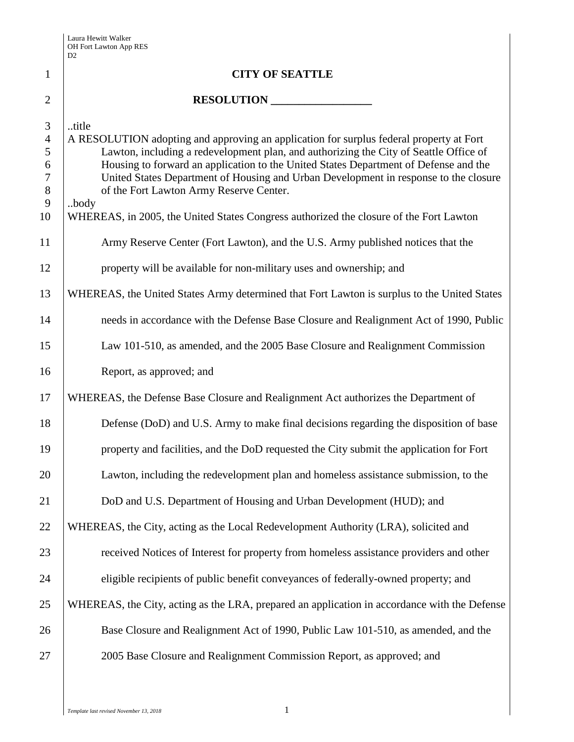|                                                       | D2                                                                                                                                                                                                                                                                                                                                                                                                                           |
|-------------------------------------------------------|------------------------------------------------------------------------------------------------------------------------------------------------------------------------------------------------------------------------------------------------------------------------------------------------------------------------------------------------------------------------------------------------------------------------------|
| $\mathbf{1}$                                          | <b>CITY OF SEATTLE</b>                                                                                                                                                                                                                                                                                                                                                                                                       |
| $\overline{2}$                                        | RESOLUTION                                                                                                                                                                                                                                                                                                                                                                                                                   |
| 3<br>$\overline{4}$<br>5<br>6<br>$\tau$<br>$8\,$<br>9 | title<br>A RESOLUTION adopting and approving an application for surplus federal property at Fort<br>Lawton, including a redevelopment plan, and authorizing the City of Seattle Office of<br>Housing to forward an application to the United States Department of Defense and the<br>United States Department of Housing and Urban Development in response to the closure<br>of the Fort Lawton Army Reserve Center.<br>body |
| 10                                                    | WHEREAS, in 2005, the United States Congress authorized the closure of the Fort Lawton                                                                                                                                                                                                                                                                                                                                       |
| 11                                                    | Army Reserve Center (Fort Lawton), and the U.S. Army published notices that the                                                                                                                                                                                                                                                                                                                                              |
| 12                                                    | property will be available for non-military uses and ownership; and                                                                                                                                                                                                                                                                                                                                                          |
| 13                                                    | WHEREAS, the United States Army determined that Fort Lawton is surplus to the United States                                                                                                                                                                                                                                                                                                                                  |
| 14                                                    | needs in accordance with the Defense Base Closure and Realignment Act of 1990, Public                                                                                                                                                                                                                                                                                                                                        |
| 15                                                    | Law 101-510, as amended, and the 2005 Base Closure and Realignment Commission                                                                                                                                                                                                                                                                                                                                                |
| 16                                                    | Report, as approved; and                                                                                                                                                                                                                                                                                                                                                                                                     |
| 17                                                    | WHEREAS, the Defense Base Closure and Realignment Act authorizes the Department of                                                                                                                                                                                                                                                                                                                                           |
| 18                                                    | Defense (DoD) and U.S. Army to make final decisions regarding the disposition of base                                                                                                                                                                                                                                                                                                                                        |
| 19                                                    | property and facilities, and the DoD requested the City submit the application for Fort                                                                                                                                                                                                                                                                                                                                      |
| 20                                                    | Lawton, including the redevelopment plan and homeless assistance submission, to the                                                                                                                                                                                                                                                                                                                                          |
| 21                                                    | DoD and U.S. Department of Housing and Urban Development (HUD); and                                                                                                                                                                                                                                                                                                                                                          |
| 22                                                    | WHEREAS, the City, acting as the Local Redevelopment Authority (LRA), solicited and                                                                                                                                                                                                                                                                                                                                          |
| 23                                                    | received Notices of Interest for property from homeless assistance providers and other                                                                                                                                                                                                                                                                                                                                       |
| 24                                                    | eligible recipients of public benefit conveyances of federally-owned property; and                                                                                                                                                                                                                                                                                                                                           |
| 25                                                    | WHEREAS, the City, acting as the LRA, prepared an application in accordance with the Defense                                                                                                                                                                                                                                                                                                                                 |
| 26                                                    | Base Closure and Realignment Act of 1990, Public Law 101-510, as amended, and the                                                                                                                                                                                                                                                                                                                                            |
| 27                                                    | 2005 Base Closure and Realignment Commission Report, as approved; and                                                                                                                                                                                                                                                                                                                                                        |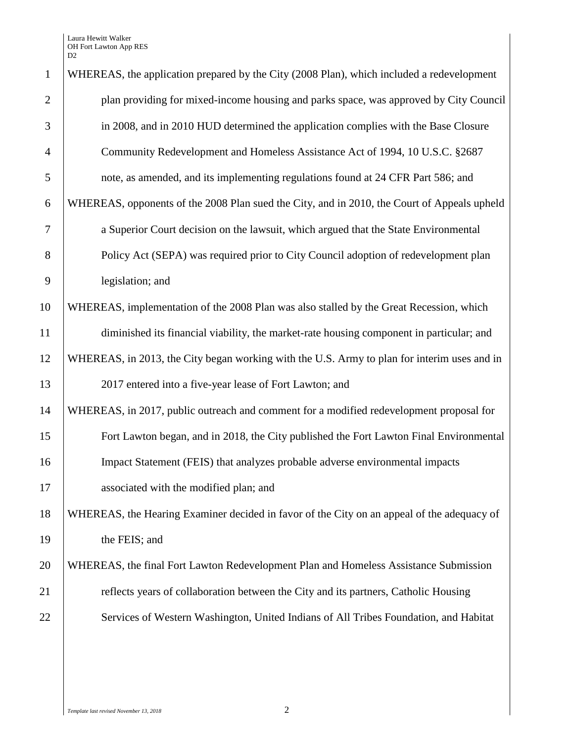Laura Hewitt Walker OH Fort Lawton App RES D2

| $\mathbf{1}$   | WHEREAS, the application prepared by the City (2008 Plan), which included a redevelopment   |
|----------------|---------------------------------------------------------------------------------------------|
| $\overline{2}$ | plan providing for mixed-income housing and parks space, was approved by City Council       |
| 3              | in 2008, and in 2010 HUD determined the application complies with the Base Closure          |
| $\overline{4}$ | Community Redevelopment and Homeless Assistance Act of 1994, 10 U.S.C. §2687                |
| 5              | note, as amended, and its implementing regulations found at 24 CFR Part 586; and            |
| 6              | WHEREAS, opponents of the 2008 Plan sued the City, and in 2010, the Court of Appeals upheld |
| 7              | a Superior Court decision on the lawsuit, which argued that the State Environmental         |
| 8              | Policy Act (SEPA) was required prior to City Council adoption of redevelopment plan         |
| 9              | legislation; and                                                                            |
| 10             | WHEREAS, implementation of the 2008 Plan was also stalled by the Great Recession, which     |
| 11             | diminished its financial viability, the market-rate housing component in particular; and    |
| 12             | WHEREAS, in 2013, the City began working with the U.S. Army to plan for interim uses and in |
| 13             | 2017 entered into a five-year lease of Fort Lawton; and                                     |
| 14             | WHEREAS, in 2017, public outreach and comment for a modified redevelopment proposal for     |
| 15             | Fort Lawton began, and in 2018, the City published the Fort Lawton Final Environmental      |
| 16             | Impact Statement (FEIS) that analyzes probable adverse environmental impacts                |
| 17             | associated with the modified plan; and                                                      |
| 18             | WHEREAS, the Hearing Examiner decided in favor of the City on an appeal of the adequacy of  |
| 19             | the FEIS; and                                                                               |
| 20             | WHEREAS, the final Fort Lawton Redevelopment Plan and Homeless Assistance Submission        |
| 21             | reflects years of collaboration between the City and its partners, Catholic Housing         |
| 22             | Services of Western Washington, United Indians of All Tribes Foundation, and Habitat        |
|                |                                                                                             |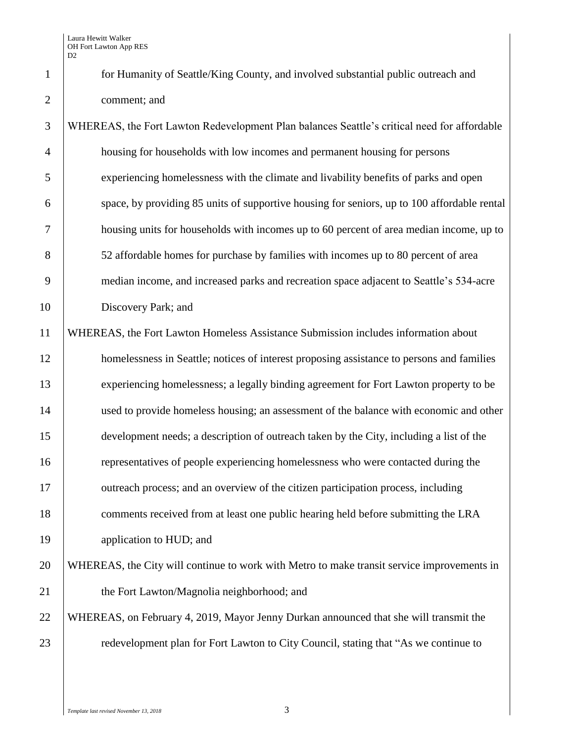Laura Hewitt Walker OH Fort Lawton App RES D<sub>2</sub>

 for Humanity of Seattle/King County, and involved substantial public outreach and comment; and

 WHEREAS, the Fort Lawton Redevelopment Plan balances Seattle's critical need for affordable housing for households with low incomes and permanent housing for persons experiencing homelessness with the climate and livability benefits of parks and open space, by providing 85 units of supportive housing for seniors, up to 100 affordable rental housing units for households with incomes up to 60 percent of area median income, up to 52 affordable homes for purchase by families with incomes up to 80 percent of area median income, and increased parks and recreation space adjacent to Seattle's 534-acre 10 Discovery Park; and WHEREAS, the Fort Lawton Homeless Assistance Submission includes information about 12 homelessness in Seattle; notices of interest proposing assistance to persons and families experiencing homelessness; a legally binding agreement for Fort Lawton property to be used to provide homeless housing; an assessment of the balance with economic and other development needs; a description of outreach taken by the City, including a list of the

 representatives of people experiencing homelessness who were contacted during the 17 outreach process; and an overview of the citizen participation process, including

18 comments received from at least one public hearing held before submitting the LRA

19 application to HUD; and

 WHEREAS, the City will continue to work with Metro to make transit service improvements in **the Fort Lawton/Magnolia neighborhood; and** 

 WHEREAS, on February 4, 2019, Mayor Jenny Durkan announced that she will transmit the **Figure 23** redevelopment plan for Fort Lawton to City Council, stating that "As we continue to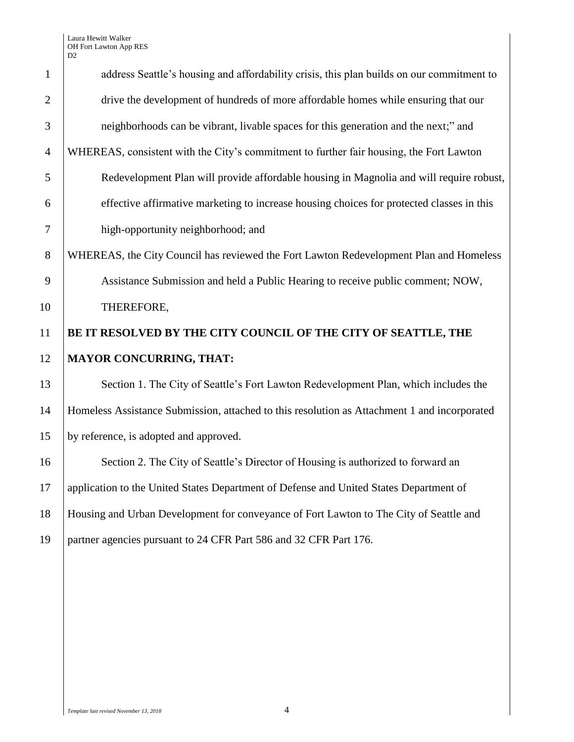Laura Hewitt Walker OH Fort Lawton App RES D2

| $\mathbf{1}$   | address Seattle's housing and affordability crisis, this plan builds on our commitment to    |
|----------------|----------------------------------------------------------------------------------------------|
| $\overline{2}$ | drive the development of hundreds of more affordable homes while ensuring that our           |
| 3              | neighborhoods can be vibrant, livable spaces for this generation and the next;" and          |
|                |                                                                                              |
| $\overline{4}$ | WHEREAS, consistent with the City's commitment to further fair housing, the Fort Lawton      |
| 5              | Redevelopment Plan will provide affordable housing in Magnolia and will require robust,      |
| 6              | effective affirmative marketing to increase housing choices for protected classes in this    |
| $\tau$         | high-opportunity neighborhood; and                                                           |
| 8              | WHEREAS, the City Council has reviewed the Fort Lawton Redevelopment Plan and Homeless       |
| 9              | Assistance Submission and held a Public Hearing to receive public comment; NOW,              |
| 10             | THEREFORE,                                                                                   |
| 11             | BE IT RESOLVED BY THE CITY COUNCIL OF THE CITY OF SEATTLE, THE                               |
| 12             | <b>MAYOR CONCURRING, THAT:</b>                                                               |
| 13             | Section 1. The City of Seattle's Fort Lawton Redevelopment Plan, which includes the          |
| 14             | Homeless Assistance Submission, attached to this resolution as Attachment 1 and incorporated |
| 15             | by reference, is adopted and approved.                                                       |
| 16             | Section 2. The City of Seattle's Director of Housing is authorized to forward an             |
| 17             | application to the United States Department of Defense and United States Department of       |
| 18             | Housing and Urban Development for conveyance of Fort Lawton to The City of Seattle and       |
| 19             | partner agencies pursuant to 24 CFR Part 586 and 32 CFR Part 176.                            |
|                |                                                                                              |
|                |                                                                                              |
|                |                                                                                              |
|                |                                                                                              |
|                |                                                                                              |
|                |                                                                                              |
|                |                                                                                              |